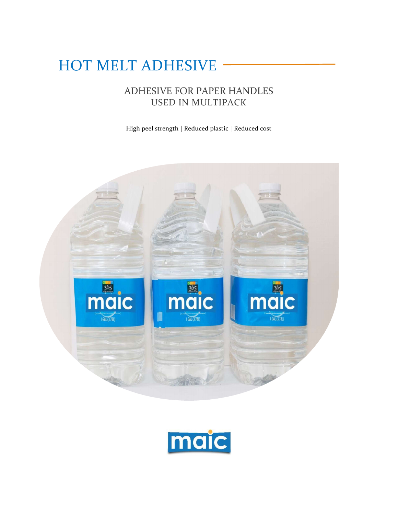# HOT MELT ADHESIVE

# ADHESIVE FOR PAPER HANDLES USED IN MULTIPACK

High peel strength | Reduced plastic | Reduced cost